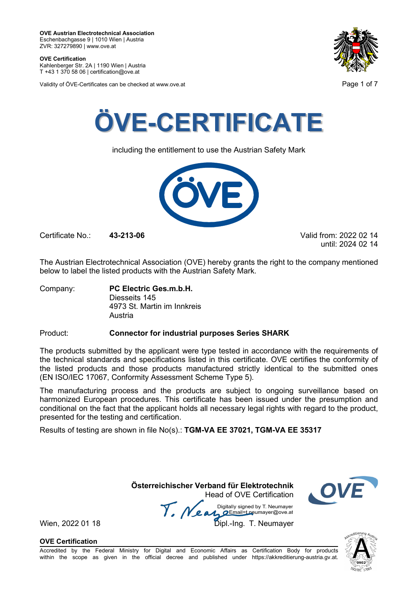**OVE Certification** Kahlenberger Str. 2A | 1190 Wien | Austria

T +43 1 370 58 06 | certification@ove.at

Validity of ÖVE-Certificates can be checked at www.ove.at **Page 1 of 7** and 2008 at  $\overline{P}$ 





including the entitlement to use the Austrian Safety Mark



Certificate No.: **43-213-06** Valid from: 2022 02 14

until: 2024 02 14

The Austrian Electrotechnical Association (OVE) hereby grants the right to the company mentioned below to label the listed products with the Austrian Safety Mark.

Company: **PC Electric Ges.m.b.H.** Diesseits 145 4973 St. Martin im Innkreis Austria

### Product: **Connector for industrial purposes Series SHARK**

The products submitted by the applicant were type tested in accordance with the requirements of the technical standards and specifications listed in this certificate. OVE certifies the conformity of the listed products and those products manufactured strictly identical to the submitted ones (EN ISO/IEC 17067, Conformity Assessment Scheme Type 5).

The manufacturing process and the products are subject to ongoing surveillance based on harmonized European procedures. This certificate has been issued under the presumption and conditional on the fact that the applicant holds all necessary legal rights with regard to the product, presented for the testing and certification.

Results of testing are shown in file No(s).: **TGM-VA EE 37021, TGM-VA EE 35317**

 **Österreichischer Verband für Elektrotechnik** Head of OVE Certification

Wien, 2022 01 18 Mean Manus Signeu by Liveumayer<br>Wien, 2022 01 18 Dipl.-Ing. T. Neumayer

**OVE Certification**



Accredited by the Federal Ministry for Digital and Economic Affairs as Certification Body for products within the scope as given in the official decree and published under https://akkreditierung-austria.gv.at.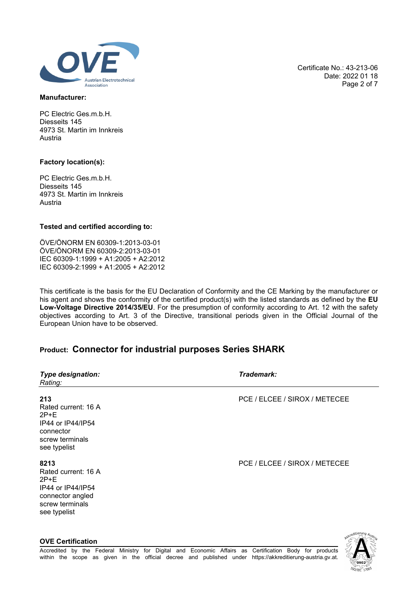

### **Manufacturer:**

PC Electric Ges.m.b.H. Diesseits 145 4973 St. Martin im Innkreis Austria

### **Factory location(s):**

**OVE Certification**

PC Electric Ges.m.b.H. Diesseits 145 4973 St. Martin im Innkreis Austria

### **Tested and certified according to:**

ÖVE/ÖNORM EN 60309-1:2013-03-01 ÖVE/ÖNORM EN 60309-2:2013-03-01 IEC 60309-1:1999 + A1:2005 + A2:2012 IEC 60309-2:1999 + A1:2005 + A2:2012

This certificate is the basis for the EU Declaration of Conformity and the CE Marking by the manufacturer or his agent and shows the conformity of the certified product(s) with the listed standards as defined by the **EU Low-Voltage Directive 2014/35/EU**. For the presumption of conformity according to Art. 12 with the safety objectives according to Art. 3 of the Directive, transitional periods given in the Official Journal of the European Union have to be observed.

## **Product: Connector for industrial purposes Series SHARK**

| <b>Type designation:</b><br>Rating:                                                                               | Trademark:                    |
|-------------------------------------------------------------------------------------------------------------------|-------------------------------|
| 213<br>Rated current: 16 A<br>$2P+E$<br>IP44 or IP44/IP54<br>connector<br>screw terminals<br>see typelist         | PCE / ELCEE / SIROX / METECEE |
| 8213<br>Rated current: 16 A<br>$2P+E$<br>IP44 or IP44/IP54<br>connector angled<br>screw terminals<br>see typelist | PCE / ELCEE / SIROX / METECEE |
|                                                                                                                   | - Altieruno                   |

Date: 2022 01 18 Page 2 of 7

Certificate No.: 43-213-06

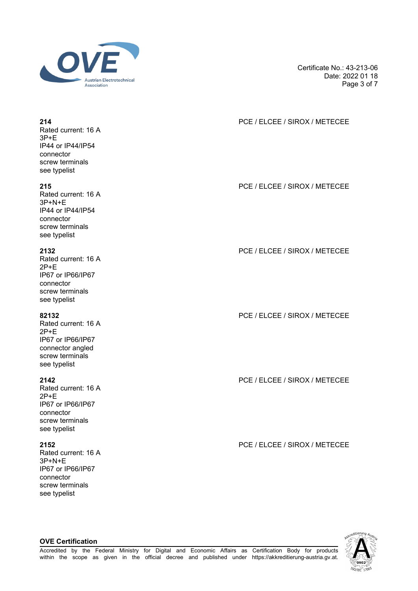

Certificate No.: 43-213-06 Date: 2022 01 18 Page 3 of 7

## **214** PCE / ELCEE / SIROX / METECEE

**215** PCE / ELCEE / SIROX / METECEE

**2132** PCE / ELCEE / SIROX / METECEE

**82132** PCE / ELCEE / SIROX / METECEE

**2142** PCE / ELCEE / SIROX / METECEE

**2152** PCE / ELCEE / SIROX / METECEE



### Rated current: 16 A 3P+E IP44 or IP44/IP54 connector screw terminals see typelist

Rated current: 16 A 3P+N+E IP44 or IP44/IP54 connector screw terminals see typelist

Rated current: 16 A 2P+E IP67 or IP66/IP67 connector screw terminals see typelist

Rated current: 16 A 2P+E IP67 or IP66/IP67 connector angled screw terminals see typelist

Rated current: 16 A 2P+E IP67 or IP66/IP67 connector screw terminals see typelist

Rated current: 16 A 3P+N+E IP67 or IP66/IP67 connector screw terminals see typelist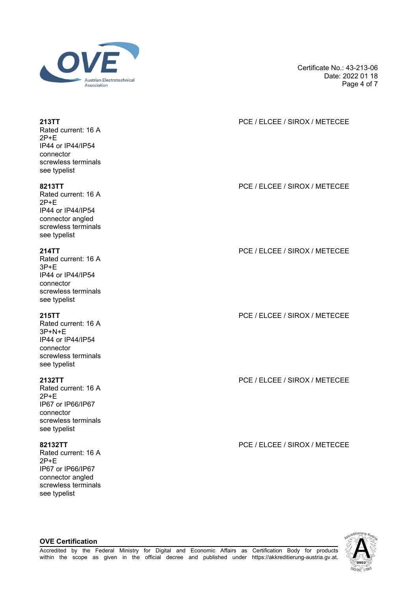

Certificate No.: 43-213-06 Date: 2022 01 18 Page 4 of 7

## **213TT** PCE / ELCEE / SIROX / METECEE

**8213TT** PCE / ELCEE / SIROX / METECEE

**214TT** PCE / ELCEE / SIROX / METECEE

**215TT** PCE / ELCEE / SIROX / METECEE

**2132TT** PCE / ELCEE / SIROX / METECEE

**82132TT** PCE / ELCEE / SIROX / METECEE



Rated current: 16 A 2P+E IP44 or IP44/IP54 connector screwless terminals see typelist

Rated current: 16 A 2P+E IP44 or IP44/IP54 connector angled screwless terminals see typelist

Rated current: 16 A 3P+E IP44 or IP44/IP54 connector screwless terminals see typelist

Rated current: 16 A 3P+N+E IP44 or IP44/IP54 connector screwless terminals see typelist

Rated current: 16 A 2P+E IP67 or IP66/IP67 connector screwless terminals see typelist

Rated current: 16 A 2P+E IP67 or IP66/IP67 connector angled screwless terminals see typelist

**OVE Certification**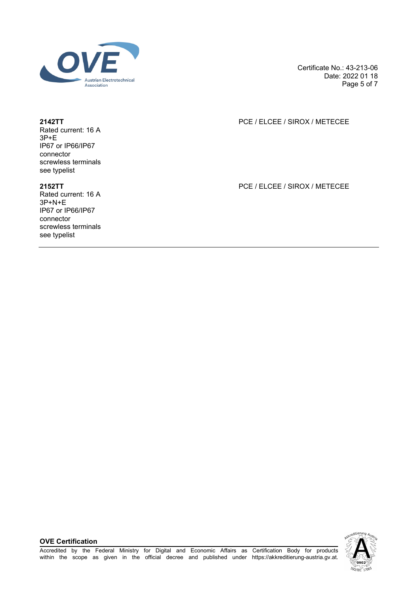

Certificate No.: 43-213-06 Date: 2022 01 18 Page 5 of 7

### **2142TT** PCE / ELCEE / SIROX / METECEE

Rated current: 16 A 3P+E IP67 or IP66/IP67 connector screwless terminals see typelist

Rated current: 16 A 3P+N+E IP67 or IP66/IP67 connector screwless terminals see typelist

### **2152TT** PCE / ELCEE / SIROX / METECEE

**OVE Certification**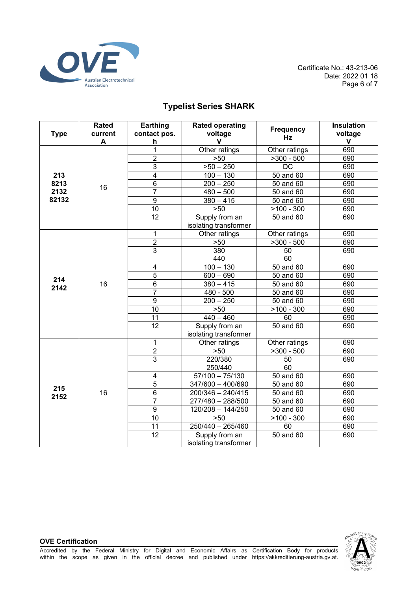

Certificate No.: 43-213-06 Date: 2022 01 18 Page 6 of 7

# **Typelist Series SHARK**

| <b>Type</b>                  | <b>Rated</b><br>current<br>A | Earthing<br>contact pos.<br>h | <b>Rated operating</b><br>voltage<br>$\mathbf{V}$ | <b>Frequency</b><br>Hz  | <b>Insulation</b><br>voltage<br>v |
|------------------------------|------------------------------|-------------------------------|---------------------------------------------------|-------------------------|-----------------------------------|
| 213<br>8213<br>2132<br>82132 | 16                           | 1                             | Other ratings                                     | Other ratings           | 690                               |
|                              |                              | $\overline{2}$                | >50                                               | $>300 - 500$            | 690                               |
|                              |                              | $\overline{3}$                | $>50 - 250$                                       | DC                      | 690                               |
|                              |                              | $\overline{\mathbf{4}}$       | $100 - 130$                                       | 50 and 60               | 690                               |
|                              |                              | $\overline{6}$                | $200 - 250$                                       | 50 and 60               | 690                               |
|                              |                              | 7                             | $480 - 500$                                       | 50 and 60               | 690                               |
|                              |                              | $\overline{9}$                | $380 - 415$                                       | 50 and 60               | 690                               |
|                              |                              | $\overline{10}$               | $>50$                                             | $>100 - 300$            | 690                               |
|                              |                              | $\overline{12}$               | Supply from an<br>isolating transformer           | 50 and 60               | 690                               |
|                              |                              | 1                             | Other ratings                                     | Other ratings           | 690                               |
|                              |                              | $\overline{2}$                | >50                                               | $\overline{>}300 - 500$ | 690                               |
|                              | 16                           | $\overline{3}$                | 380<br>440                                        | 50<br>60                | 690                               |
|                              |                              | $\overline{\mathbf{4}}$       | $100 - 130$                                       | 50 and 60               | 690                               |
| 214<br>2142                  |                              | $\overline{5}$                | $600 - 690$                                       | 50 and 60               | 690                               |
|                              |                              | 6                             | $380 - 415$                                       | 50 and 60               | 690                               |
|                              |                              | $\overline{7}$                | 480 - 500                                         | 50 and 60               | 690                               |
|                              |                              | $\overline{9}$                | $200 - 250$                                       | 50 and 60               | 690                               |
|                              |                              | 10                            | $>50$                                             | $>100 - 300$            | 690                               |
|                              |                              | 11                            | $440 - 460$                                       | 60                      | 690                               |
|                              |                              | 12                            | Supply from an<br>isolating transformer           | 50 and 60               | 690                               |
|                              | 16                           | 1                             | Other ratings                                     | Other ratings           | 690                               |
|                              |                              | $\overline{2}$                | $>50$                                             | $>300 - 500$            | 690                               |
|                              |                              | $\overline{3}$                | 220/380<br>250/440                                | 50<br>60                | 690                               |
|                              |                              | $\overline{\mathbf{4}}$       | $57/100 - 75/130$                                 | 50 and 60               | 690                               |
| 215                          |                              | $\overline{5}$                | 347/600 - 400/690                                 | 50 and 60               | 690                               |
| 2152                         |                              | $\overline{6}$                | 200/346 - 240/415                                 | 50 and 60               | 690                               |
|                              |                              | $\overline{7}$                | 277/480 - 288/500                                 | 50 and 60               | 690                               |
|                              |                              | $\overline{9}$                | $120/208 - 144/250$                               | 50 and 60               | 690                               |
|                              |                              | $\overline{10}$               | >50                                               | $>100 - 300$            | 690                               |
|                              |                              | $\overline{11}$               | $250/440 - 265/460$                               | 60                      | 690                               |
|                              |                              | $\overline{12}$               | Supply from an<br>isolating transformer           | 50 and 60               | 690                               |